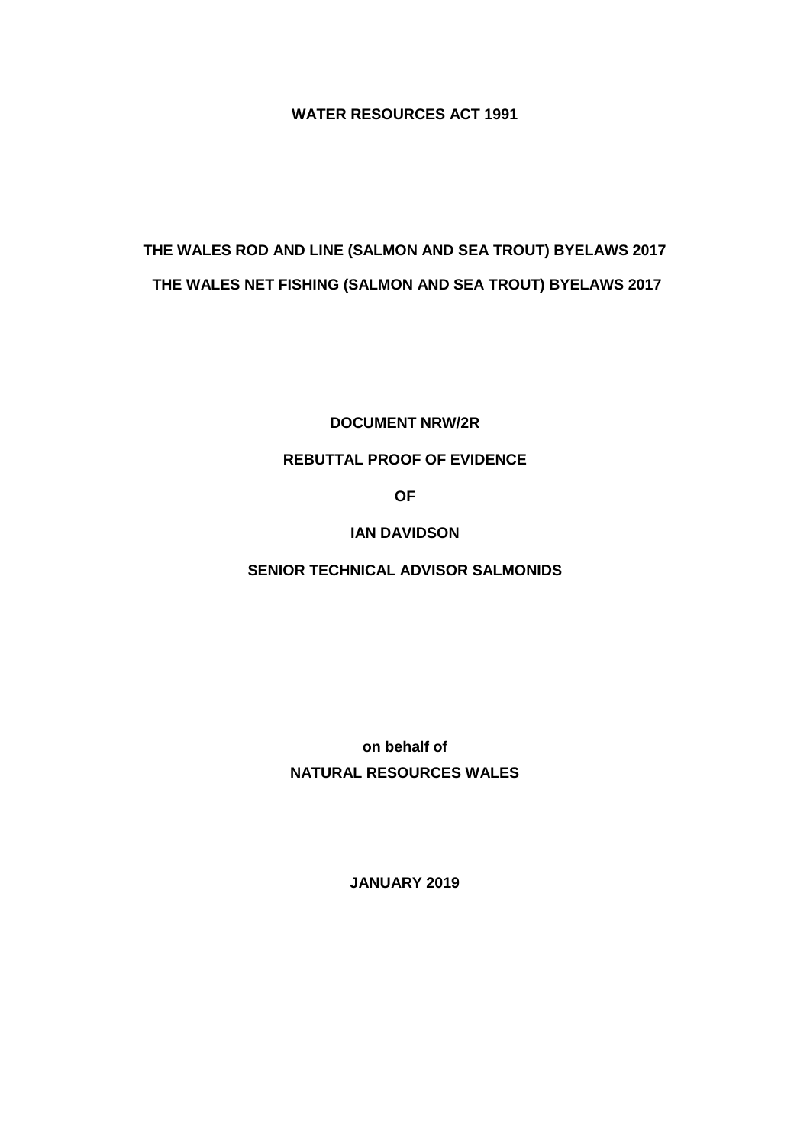**WATER RESOURCES ACT 1991**

# **THE WALES ROD AND LINE (SALMON AND SEA TROUT) BYELAWS 2017 THE WALES NET FISHING (SALMON AND SEA TROUT) BYELAWS 2017**

**DOCUMENT NRW/2R**

### **REBUTTAL PROOF OF EVIDENCE**

**OF**

**IAN DAVIDSON**

**SENIOR TECHNICAL ADVISOR SALMONIDS**

**on behalf of NATURAL RESOURCES WALES**

**JANUARY 2019**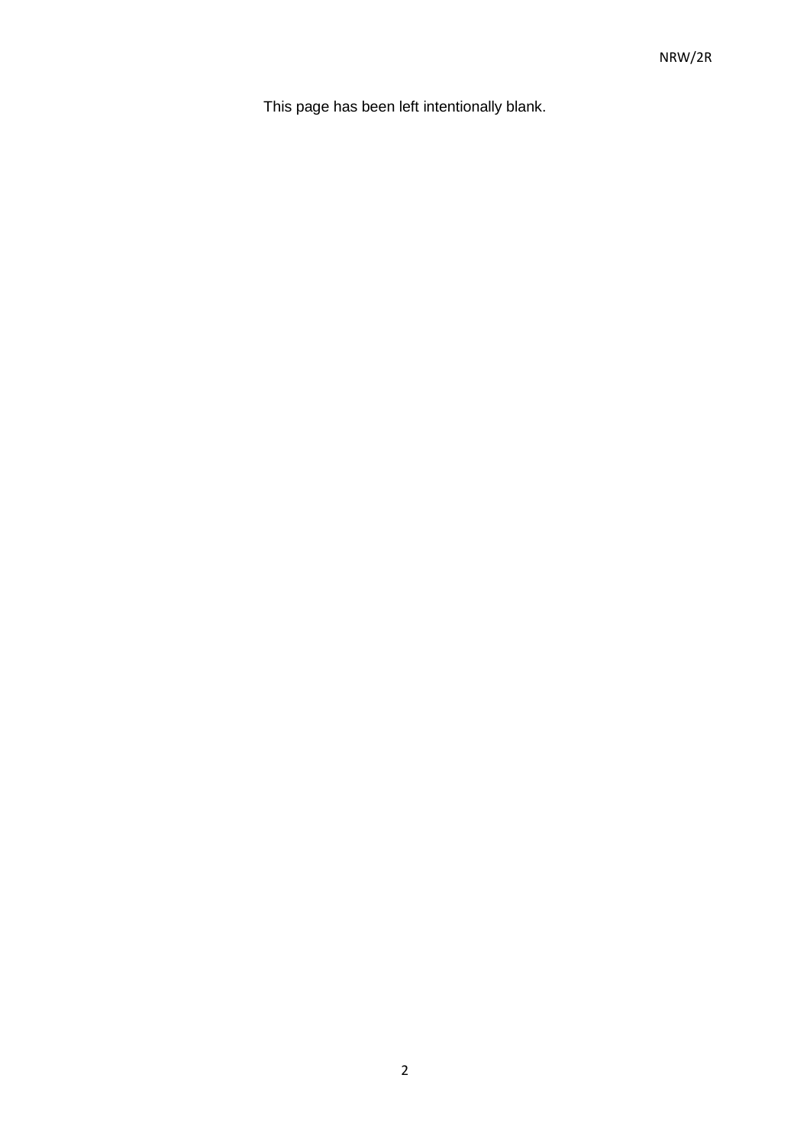This page has been left intentionally blank.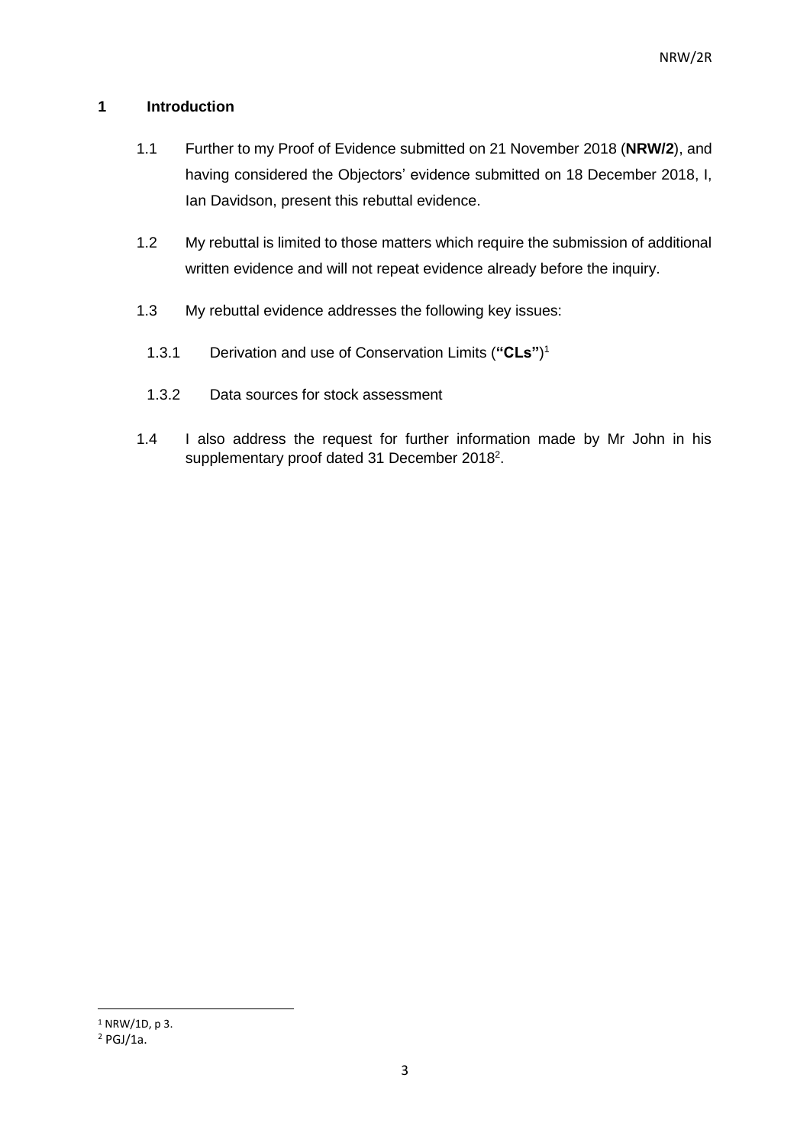### **1 Introduction**

- 1.1 Further to my Proof of Evidence submitted on 21 November 2018 (**NRW/2**), and having considered the Objectors' evidence submitted on 18 December 2018, I, Ian Davidson, present this rebuttal evidence.
- 1.2 My rebuttal is limited to those matters which require the submission of additional written evidence and will not repeat evidence already before the inquiry.
- 1.3 My rebuttal evidence addresses the following key issues:
	- 1.3.1 Derivation and use of Conservation Limits (**"CLs"**) 1
	- 1.3.2 Data sources for stock assessment
- 1.4 I also address the request for further information made by Mr John in his supplementary proof dated 31 December 2018 $^2$ .

 $1$  NRW/1D, p 3.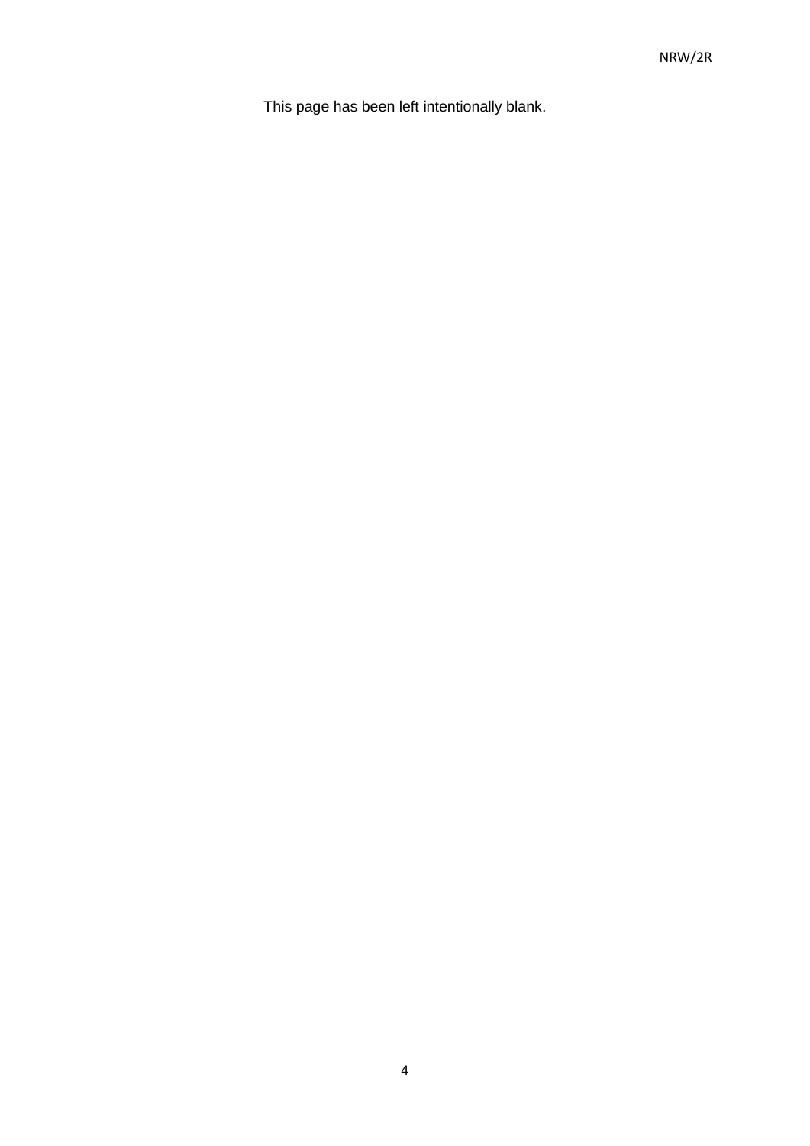This page has been left intentionally blank.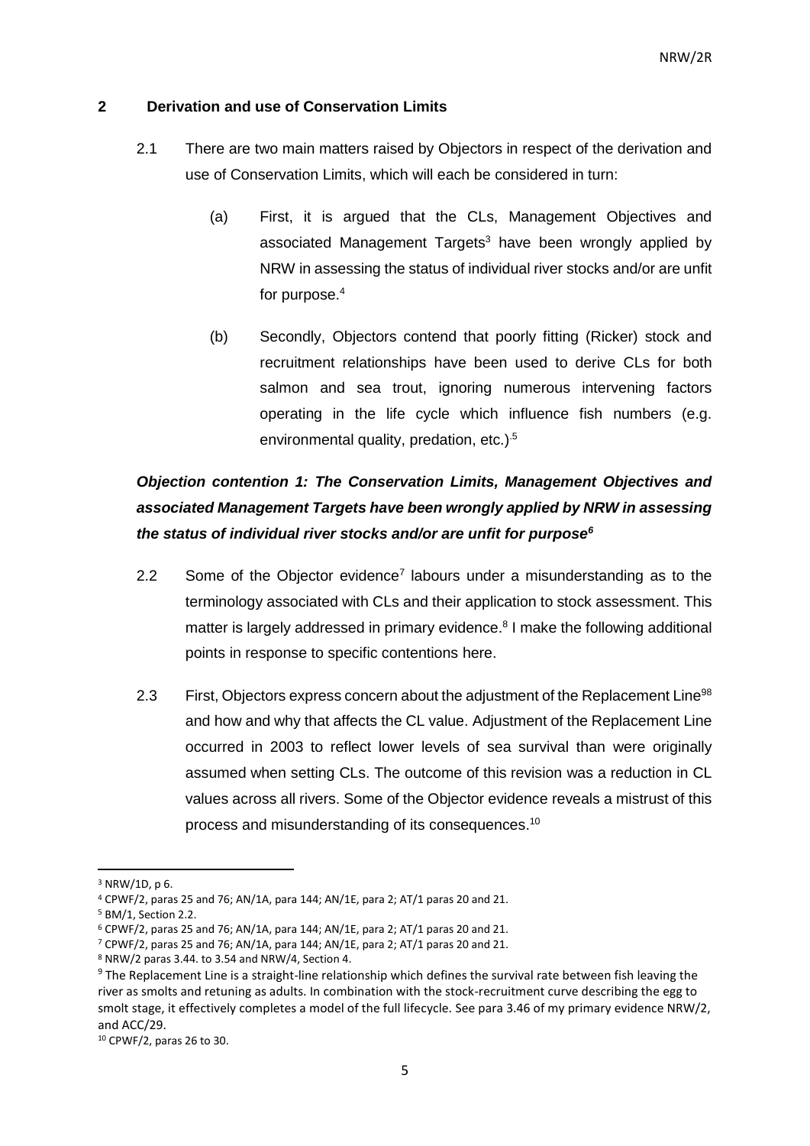### **2 Derivation and use of Conservation Limits**

- 2.1 There are two main matters raised by Objectors in respect of the derivation and use of Conservation Limits, which will each be considered in turn:
	- (a) First, it is argued that the CLs, Management Objectives and associated Management Targets<sup>3</sup> have been wrongly applied by NRW in assessing the status of individual river stocks and/or are unfit for purpose.<sup>4</sup>
	- (b) Secondly, Objectors contend that poorly fitting (Ricker) stock and recruitment relationships have been used to derive CLs for both salmon and sea trout, ignoring numerous intervening factors operating in the life cycle which influence fish numbers (e.g. environmental quality, predation, etc.)<sup>5</sup>

## *Objection contention 1: The Conservation Limits, Management Objectives and associated Management Targets have been wrongly applied by NRW in assessing the status of individual river stocks and/or are unfit for purpose<sup>6</sup>*

- 2.2 Some of the Objector evidence<sup>7</sup> labours under a misunderstanding as to the terminology associated with CLs and their application to stock assessment. This matter is largely addressed in primary evidence.<sup>8</sup> I make the following additional points in response to specific contentions here.
- 2.3 First, Objectors express concern about the adjustment of the Replacement Line<sup>98</sup> and how and why that affects the CL value. Adjustment of the Replacement Line occurred in 2003 to reflect lower levels of sea survival than were originally assumed when setting CLs. The outcome of this revision was a reduction in CL values across all rivers. Some of the Objector evidence reveals a mistrust of this process and misunderstanding of its consequences. 10

<sup>3</sup> NRW/1D, p 6.

<sup>4</sup> CPWF/2, paras 25 and 76; AN/1A, para 144; AN/1E, para 2; AT/1 paras 20 and 21.

<sup>5</sup> BM/1, Section 2.2.

<sup>6</sup> CPWF/2, paras 25 and 76; AN/1A, para 144; AN/1E, para 2; AT/1 paras 20 and 21.

<sup>7</sup> CPWF/2, paras 25 and 76; AN/1A, para 144; AN/1E, para 2; AT/1 paras 20 and 21.

<sup>8</sup> NRW/2 paras 3.44. to 3.54 and NRW/4, Section 4.

<sup>&</sup>lt;sup>9</sup> The Replacement Line is a straight-line relationship which defines the survival rate between fish leaving the river as smolts and retuning as adults. In combination with the stock-recruitment curve describing the egg to smolt stage, it effectively completes a model of the full lifecycle. See para 3.46 of my primary evidence NRW/2, and ACC/29.

<sup>10</sup> CPWF/2, paras 26 to 30.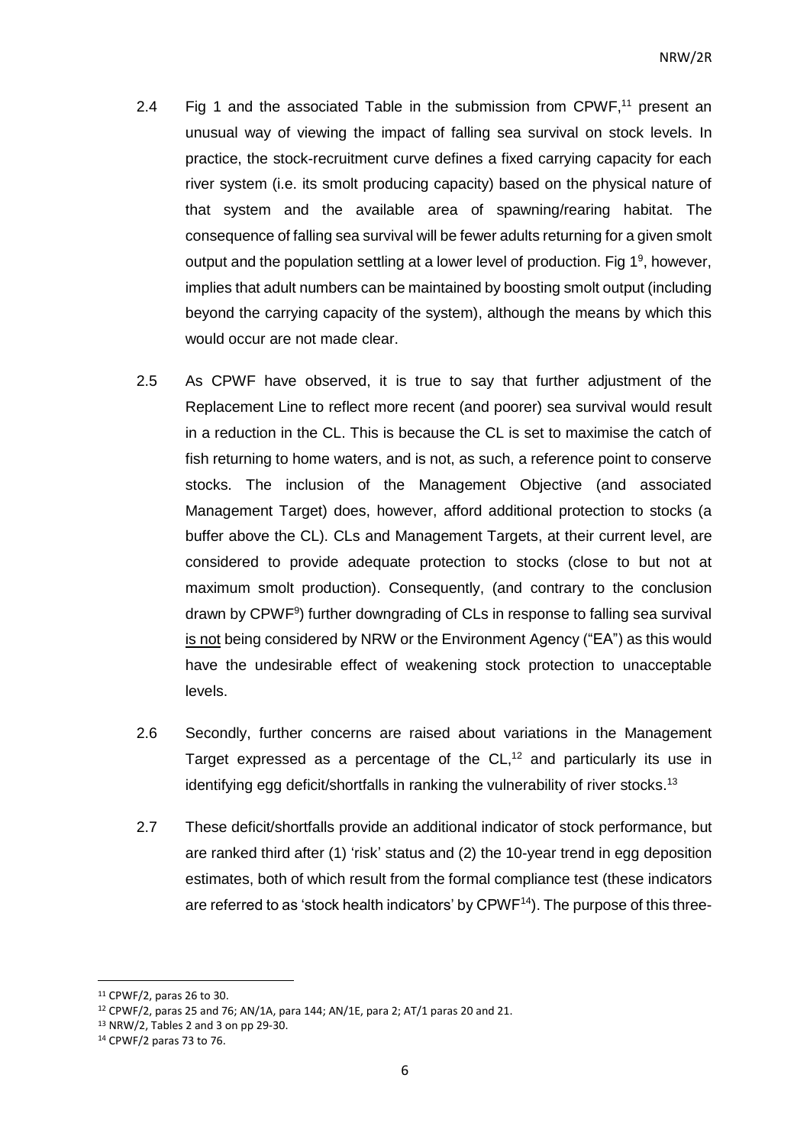- 2.4 Fig 1 and the associated Table in the submission from CPWF,<sup>11</sup> present an unusual way of viewing the impact of falling sea survival on stock levels. In practice, the stock-recruitment curve defines a fixed carrying capacity for each river system (i.e. its smolt producing capacity) based on the physical nature of that system and the available area of spawning/rearing habitat. The consequence of falling sea survival will be fewer adults returning for a given smolt output and the population settling at a lower level of production. Fig  $1<sup>9</sup>$ , however, implies that adult numbers can be maintained by boosting smolt output (including beyond the carrying capacity of the system), although the means by which this would occur are not made clear.
- 2.5 As CPWF have observed, it is true to say that further adjustment of the Replacement Line to reflect more recent (and poorer) sea survival would result in a reduction in the CL. This is because the CL is set to maximise the catch of fish returning to home waters, and is not, as such, a reference point to conserve stocks. The inclusion of the Management Objective (and associated Management Target) does, however, afford additional protection to stocks (a buffer above the CL). CLs and Management Targets, at their current level, are considered to provide adequate protection to stocks (close to but not at maximum smolt production). Consequently, (and contrary to the conclusion drawn by CPWF<sup>9</sup>) further downgrading of CLs in response to falling sea survival is not being considered by NRW or the Environment Agency ("EA") as this would have the undesirable effect of weakening stock protection to unacceptable levels.
- 2.6 Secondly, further concerns are raised about variations in the Management Target expressed as a percentage of the  $CL$ ,<sup>12</sup> and particularly its use in identifying egg deficit/shortfalls in ranking the vulnerability of river stocks.<sup>13</sup>
- 2.7 These deficit/shortfalls provide an additional indicator of stock performance, but are ranked third after (1) 'risk' status and (2) the 10-year trend in egg deposition estimates, both of which result from the formal compliance test (these indicators are referred to as 'stock health indicators' by CPWF<sup>14</sup>). The purpose of this three-

1

<sup>11</sup> CPWF/2, paras 26 to 30.

<sup>12</sup> CPWF/2, paras 25 and 76; AN/1A, para 144; AN/1E, para 2; AT/1 paras 20 and 21.

<sup>13</sup> NRW/2, Tables 2 and 3 on pp 29-30.

<sup>14</sup> CPWF/2 paras 73 to 76.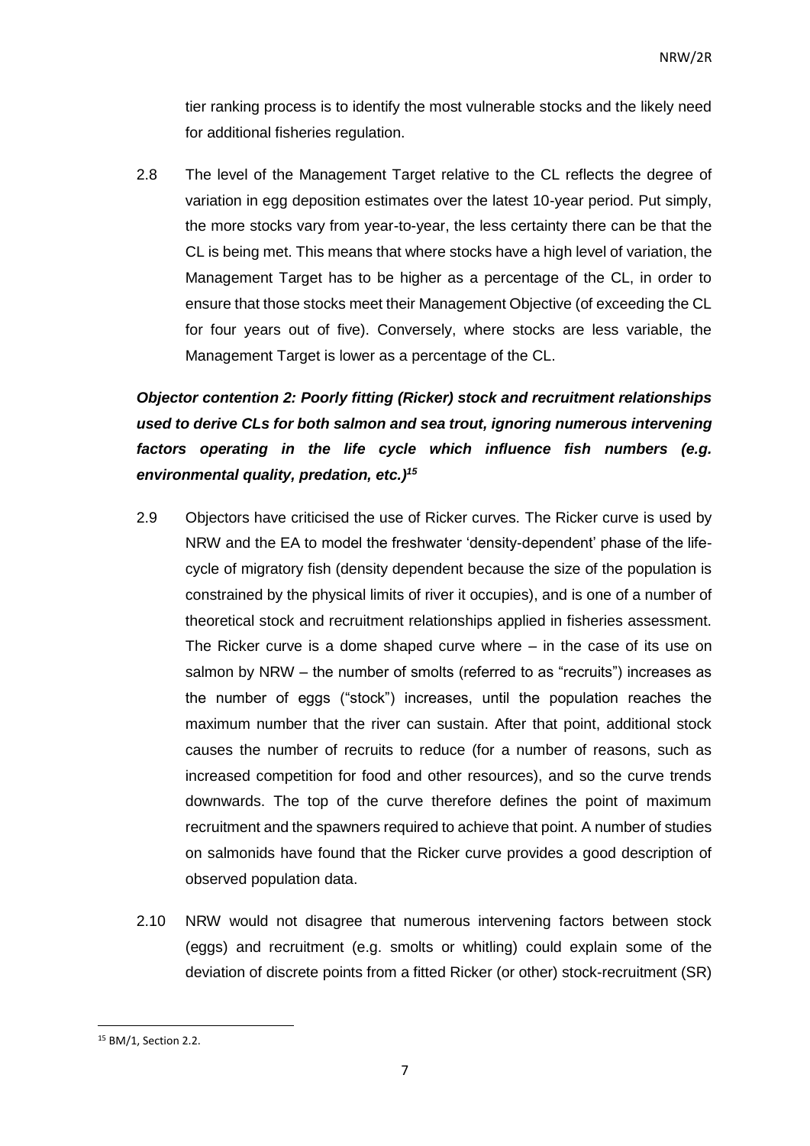tier ranking process is to identify the most vulnerable stocks and the likely need for additional fisheries regulation.

2.8 The level of the Management Target relative to the CL reflects the degree of variation in egg deposition estimates over the latest 10-year period. Put simply, the more stocks vary from year-to-year, the less certainty there can be that the CL is being met. This means that where stocks have a high level of variation, the Management Target has to be higher as a percentage of the CL, in order to ensure that those stocks meet their Management Objective (of exceeding the CL for four years out of five). Conversely, where stocks are less variable, the Management Target is lower as a percentage of the CL.

# *Objector contention 2: Poorly fitting (Ricker) stock and recruitment relationships used to derive CLs for both salmon and sea trout, ignoring numerous intervening factors operating in the life cycle which influence fish numbers (e.g. environmental quality, predation, etc.) 15*

- 2.9 Objectors have criticised the use of Ricker curves. The Ricker curve is used by NRW and the EA to model the freshwater 'density-dependent' phase of the lifecycle of migratory fish (density dependent because the size of the population is constrained by the physical limits of river it occupies), and is one of a number of theoretical stock and recruitment relationships applied in fisheries assessment. The Ricker curve is a dome shaped curve where – in the case of its use on salmon by NRW – the number of smolts (referred to as "recruits") increases as the number of eggs ("stock") increases, until the population reaches the maximum number that the river can sustain. After that point, additional stock causes the number of recruits to reduce (for a number of reasons, such as increased competition for food and other resources), and so the curve trends downwards. The top of the curve therefore defines the point of maximum recruitment and the spawners required to achieve that point. A number of studies on salmonids have found that the Ricker curve provides a good description of observed population data.
- 2.10 NRW would not disagree that numerous intervening factors between stock (eggs) and recruitment (e.g. smolts or whitling) could explain some of the deviation of discrete points from a fitted Ricker (or other) stock-recruitment (SR)

<sup>15</sup> BM/1, Section 2.2.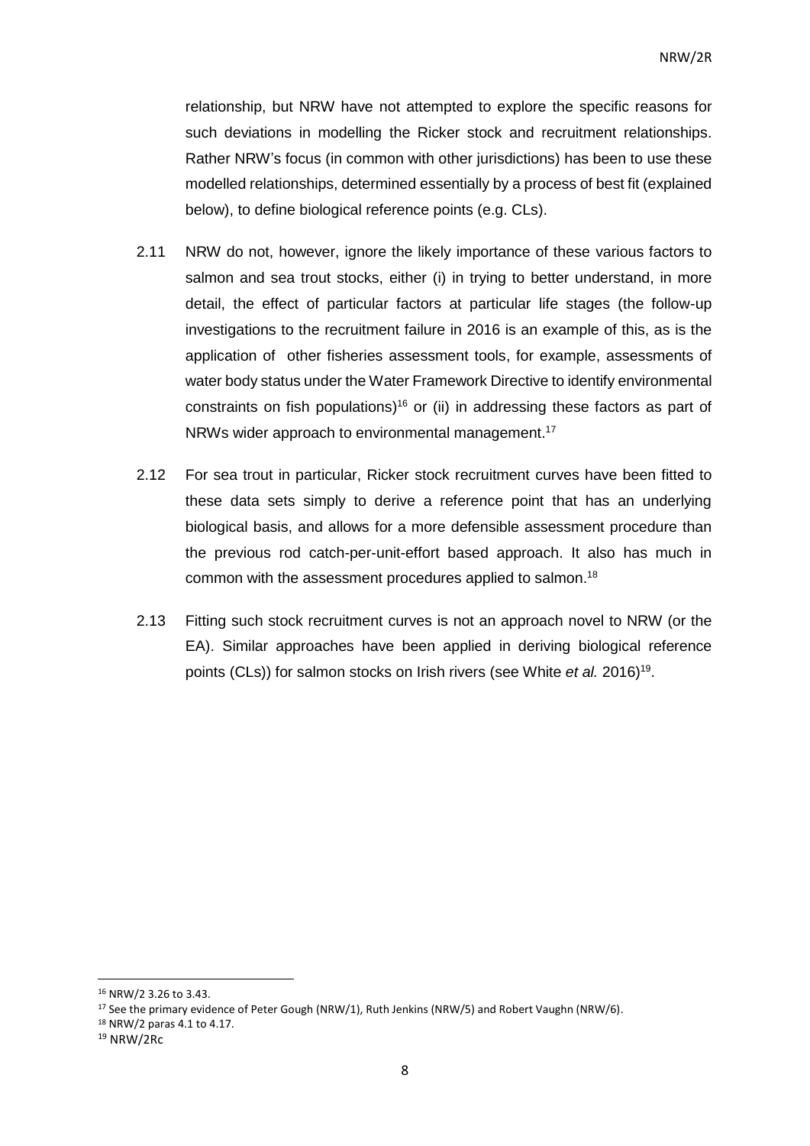relationship, but NRW have not attempted to explore the specific reasons for such deviations in modelling the Ricker stock and recruitment relationships. Rather NRW's focus (in common with other jurisdictions) has been to use these modelled relationships, determined essentially by a process of best fit (explained below), to define biological reference points (e.g. CLs).

- 2.11 NRW do not, however, ignore the likely importance of these various factors to salmon and sea trout stocks, either (i) in trying to better understand, in more detail, the effect of particular factors at particular life stages (the follow-up investigations to the recruitment failure in 2016 is an example of this, as is the application of other fisheries assessment tools, for example, assessments of water body status under the Water Framework Directive to identify environmental constraints on fish populations)<sup>16</sup> or (ii) in addressing these factors as part of NRWs wider approach to environmental management.<sup>17</sup>
- 2.12 For sea trout in particular, Ricker stock recruitment curves have been fitted to these data sets simply to derive a reference point that has an underlying biological basis, and allows for a more defensible assessment procedure than the previous rod catch-per-unit-effort based approach. It also has much in common with the assessment procedures applied to salmon.<sup>18</sup>
- 2.13 Fitting such stock recruitment curves is not an approach novel to NRW (or the EA). Similar approaches have been applied in deriving biological reference points (CLs)) for salmon stocks on Irish rivers (see White *et al.* 2016)<sup>19</sup>.

<sup>16</sup> NRW/2 3.26 to 3.43.

<sup>&</sup>lt;sup>17</sup> See the primary evidence of Peter Gough (NRW/1), Ruth Jenkins (NRW/5) and Robert Vaughn (NRW/6).

<sup>18</sup> NRW/2 paras 4.1 to 4.17.

 $19$  NRW/2Rc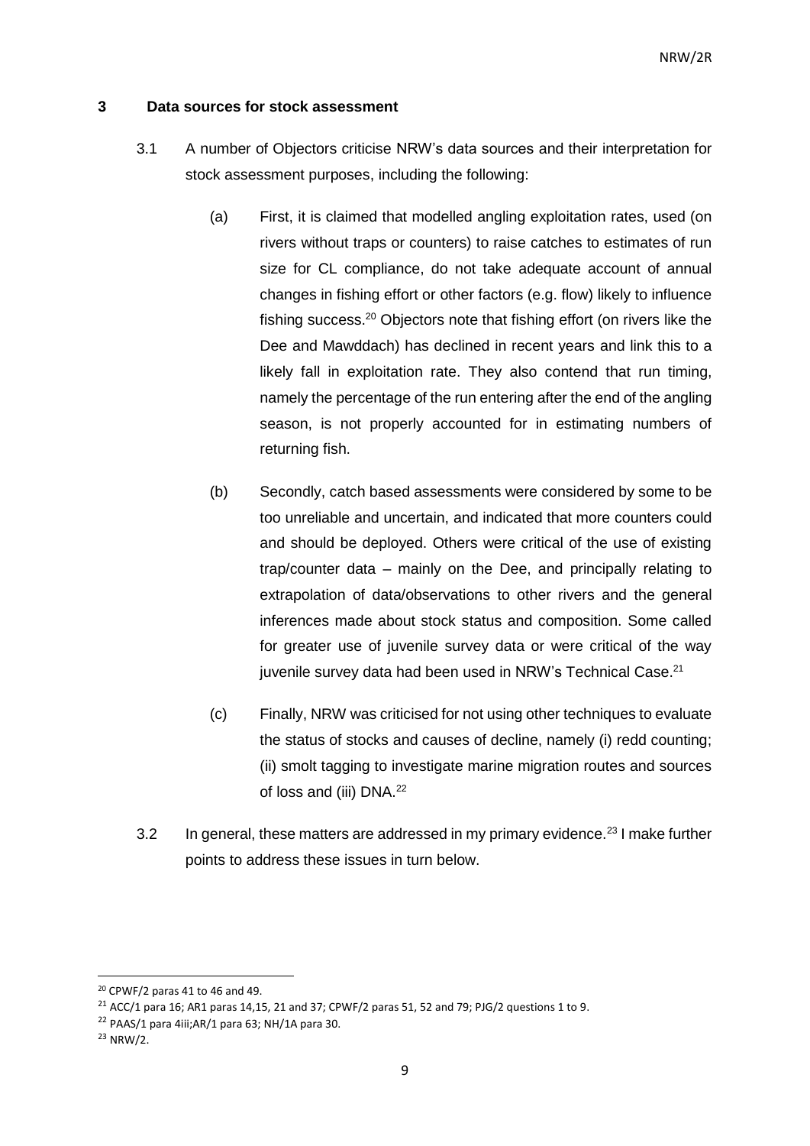### **3 Data sources for stock assessment**

- 3.1 A number of Objectors criticise NRW's data sources and their interpretation for stock assessment purposes, including the following:
	- (a) First, it is claimed that modelled angling exploitation rates, used (on rivers without traps or counters) to raise catches to estimates of run size for CL compliance, do not take adequate account of annual changes in fishing effort or other factors (e.g. flow) likely to influence fishing success.<sup>20</sup> Objectors note that fishing effort (on rivers like the Dee and Mawddach) has declined in recent years and link this to a likely fall in exploitation rate. They also contend that run timing, namely the percentage of the run entering after the end of the angling season, is not properly accounted for in estimating numbers of returning fish.
	- (b) Secondly, catch based assessments were considered by some to be too unreliable and uncertain, and indicated that more counters could and should be deployed. Others were critical of the use of existing trap/counter data – mainly on the Dee, and principally relating to extrapolation of data/observations to other rivers and the general inferences made about stock status and composition. Some called for greater use of juvenile survey data or were critical of the way juvenile survey data had been used in NRW's Technical Case.<sup>21</sup>
	- (c) Finally, NRW was criticised for not using other techniques to evaluate the status of stocks and causes of decline, namely (i) redd counting; (ii) smolt tagging to investigate marine migration routes and sources of loss and (iii) DNA.<sup>22</sup>
- 3.2 In general, these matters are addressed in my primary evidence.<sup>23</sup> I make further points to address these issues in turn below.

1

<sup>20</sup> CPWF/2 paras 41 to 46 and 49.

<sup>&</sup>lt;sup>21</sup> ACC/1 para 16; AR1 paras 14,15, 21 and 37; CPWF/2 paras 51, 52 and 79; PJG/2 questions 1 to 9.

<sup>22</sup> PAAS/1 para 4iii;AR/1 para 63; NH/1A para 30.

<sup>23</sup> NRW/2.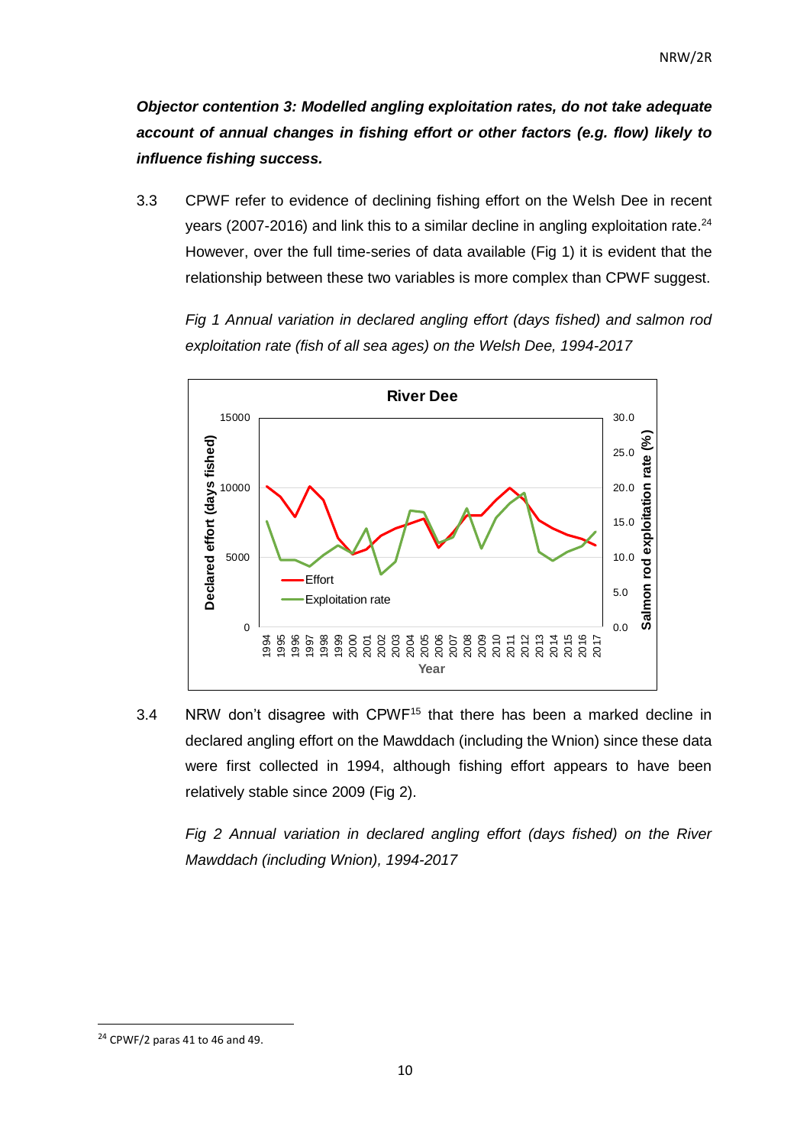*Objector contention 3: Modelled angling exploitation rates, do not take adequate account of annual changes in fishing effort or other factors (e.g. flow) likely to influence fishing success.*

3.3 CPWF refer to evidence of declining fishing effort on the Welsh Dee in recent years (2007-2016) and link this to a similar decline in angling exploitation rate.<sup>24</sup> However, over the full time-series of data available (Fig 1) it is evident that the relationship between these two variables is more complex than CPWF suggest.

*Fig 1 Annual variation in declared angling effort (days fished) and salmon rod exploitation rate (fish of all sea ages) on the Welsh Dee, 1994-2017*



3.4 NRW don't disagree with CPWF<sup>15</sup> that there has been a marked decline in declared angling effort on the Mawddach (including the Wnion) since these data were first collected in 1994, although fishing effort appears to have been relatively stable since 2009 (Fig 2).

*Fig 2 Annual variation in declared angling effort (days fished) on the River Mawddach (including Wnion), 1994-2017*

 $24$  CPWF/2 paras 41 to 46 and 49.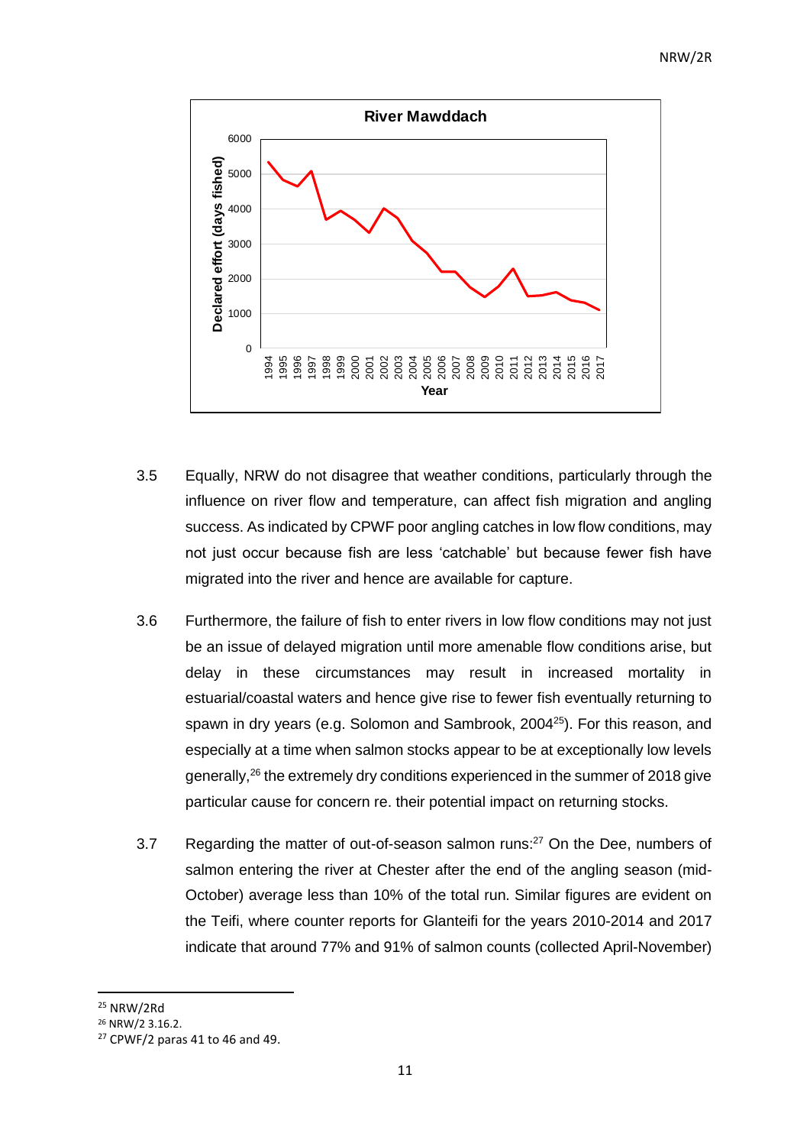

- 3.5 Equally, NRW do not disagree that weather conditions, particularly through the influence on river flow and temperature, can affect fish migration and angling success. As indicated by CPWF poor angling catches in low flow conditions, may not just occur because fish are less 'catchable' but because fewer fish have migrated into the river and hence are available for capture.
- 3.6 Furthermore, the failure of fish to enter rivers in low flow conditions may not just be an issue of delayed migration until more amenable flow conditions arise, but delay in these circumstances may result in increased mortality in estuarial/coastal waters and hence give rise to fewer fish eventually returning to spawn in dry years (e.g. Solomon and Sambrook, 2004 $25$ ). For this reason, and especially at a time when salmon stocks appear to be at exceptionally low levels generally,<sup>26</sup> the extremely dry conditions experienced in the summer of 2018 give particular cause for concern re. their potential impact on returning stocks.
- 3.7 Regarding the matter of out-of-season salmon runs:<sup>27</sup> On the Dee, numbers of salmon entering the river at Chester after the end of the angling season (mid-October) average less than 10% of the total run. Similar figures are evident on the Teifi, where counter reports for Glanteifi for the years 2010-2014 and 2017 indicate that around 77% and 91% of salmon counts (collected April-November)

<sup>25</sup> NRW/2Rd

<sup>26</sup> NRW/2 3.16.2.

 $27$  CPWF/2 paras 41 to 46 and 49.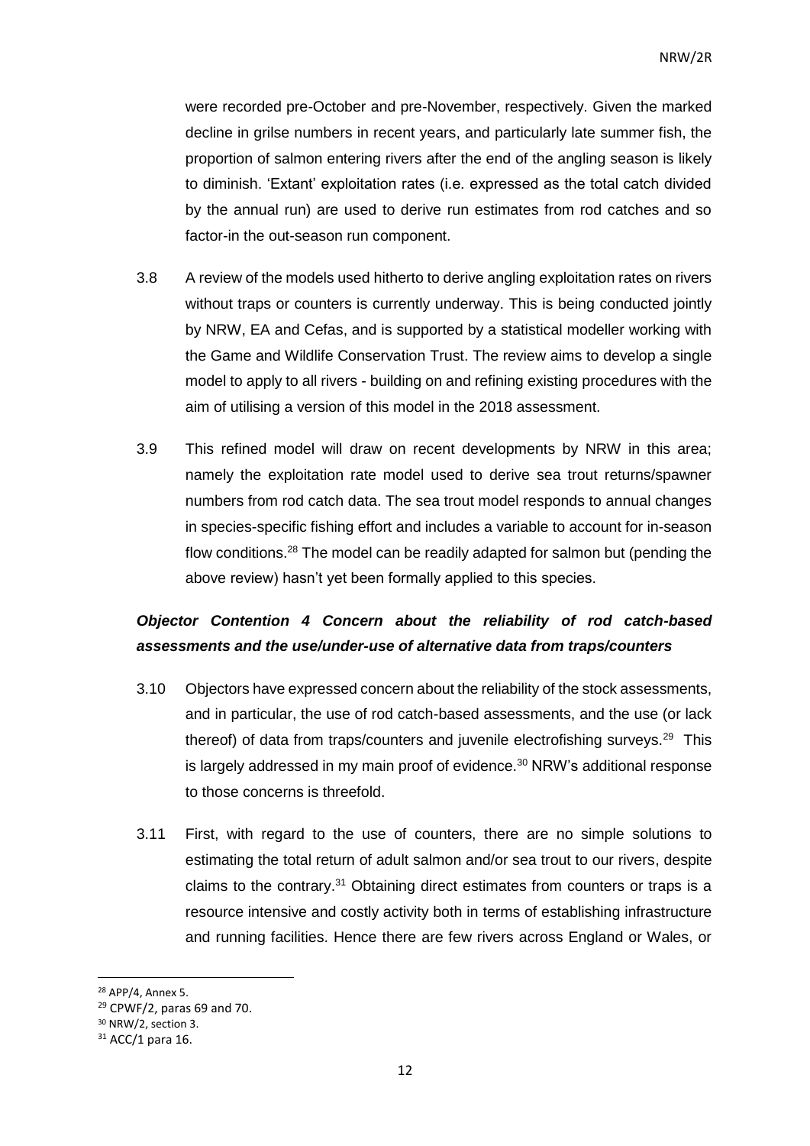were recorded pre-October and pre-November, respectively. Given the marked decline in grilse numbers in recent years, and particularly late summer fish, the proportion of salmon entering rivers after the end of the angling season is likely to diminish. 'Extant' exploitation rates (i.e. expressed as the total catch divided by the annual run) are used to derive run estimates from rod catches and so factor-in the out-season run component.

- 3.8 A review of the models used hitherto to derive angling exploitation rates on rivers without traps or counters is currently underway. This is being conducted jointly by NRW, EA and Cefas, and is supported by a statistical modeller working with the Game and Wildlife Conservation Trust. The review aims to develop a single model to apply to all rivers - building on and refining existing procedures with the aim of utilising a version of this model in the 2018 assessment.
- 3.9 This refined model will draw on recent developments by NRW in this area; namely the exploitation rate model used to derive sea trout returns/spawner numbers from rod catch data. The sea trout model responds to annual changes in species-specific fishing effort and includes a variable to account for in-season flow conditions. <sup>28</sup> The model can be readily adapted for salmon but (pending the above review) hasn't yet been formally applied to this species.

### *Objector Contention 4 Concern about the reliability of rod catch-based assessments and the use/under-use of alternative data from traps/counters*

- 3.10 Objectors have expressed concern about the reliability of the stock assessments, and in particular, the use of rod catch-based assessments, and the use (or lack thereof) of data from traps/counters and juvenile electrofishing surveys.<sup>29</sup> This is largely addressed in my main proof of evidence.<sup>30</sup> NRW's additional response to those concerns is threefold.
- 3.11 First, with regard to the use of counters, there are no simple solutions to estimating the total return of adult salmon and/or sea trout to our rivers, despite claims to the contrary.<sup>31</sup> Obtaining direct estimates from counters or traps is a resource intensive and costly activity both in terms of establishing infrastructure and running facilities. Hence there are few rivers across England or Wales, or

 $\overline{\phantom{a}}$ 

<sup>28</sup> APP/4, Annex 5.

<sup>29</sup> CPWF/2, paras 69 and 70.

<sup>30</sup> NRW/2, section 3.

 $31$  ACC/1 para 16.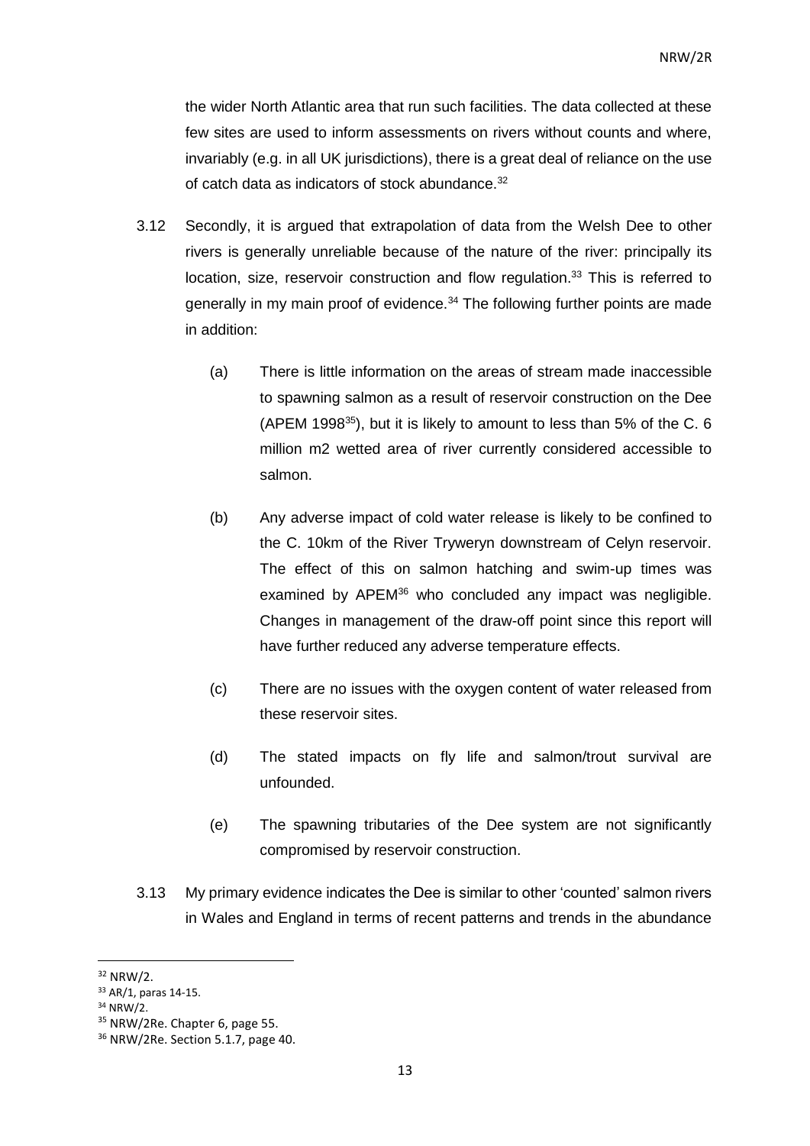the wider North Atlantic area that run such facilities. The data collected at these few sites are used to inform assessments on rivers without counts and where, invariably (e.g. in all UK jurisdictions), there is a great deal of reliance on the use of catch data as indicators of stock abundance.<sup>32</sup>

- 3.12 Secondly, it is argued that extrapolation of data from the Welsh Dee to other rivers is generally unreliable because of the nature of the river: principally its location, size, reservoir construction and flow regulation.<sup>33</sup> This is referred to generally in my main proof of evidence.<sup>34</sup> The following further points are made in addition:
	- (a) There is little information on the areas of stream made inaccessible to spawning salmon as a result of reservoir construction on the Dee (APEM 1998<sup>35</sup>), but it is likely to amount to less than 5% of the C. 6 million m2 wetted area of river currently considered accessible to salmon.
	- (b) Any adverse impact of cold water release is likely to be confined to the C. 10km of the River Tryweryn downstream of Celyn reservoir. The effect of this on salmon hatching and swim-up times was examined by APEM<sup>36</sup> who concluded any impact was negligible. Changes in management of the draw-off point since this report will have further reduced any adverse temperature effects.
	- (c) There are no issues with the oxygen content of water released from these reservoir sites.
	- (d) The stated impacts on fly life and salmon/trout survival are unfounded.
	- (e) The spawning tributaries of the Dee system are not significantly compromised by reservoir construction.
- 3.13 My primary evidence indicates the Dee is similar to other 'counted' salmon rivers in Wales and England in terms of recent patterns and trends in the abundance

1

<sup>32</sup> NRW/2.

<sup>33</sup> AR/1, paras 14-15.

<sup>34</sup> NRW/2.

<sup>35</sup> NRW/2Re. Chapter 6, page 55.

<sup>36</sup> NRW/2Re. Section 5.1.7, page 40.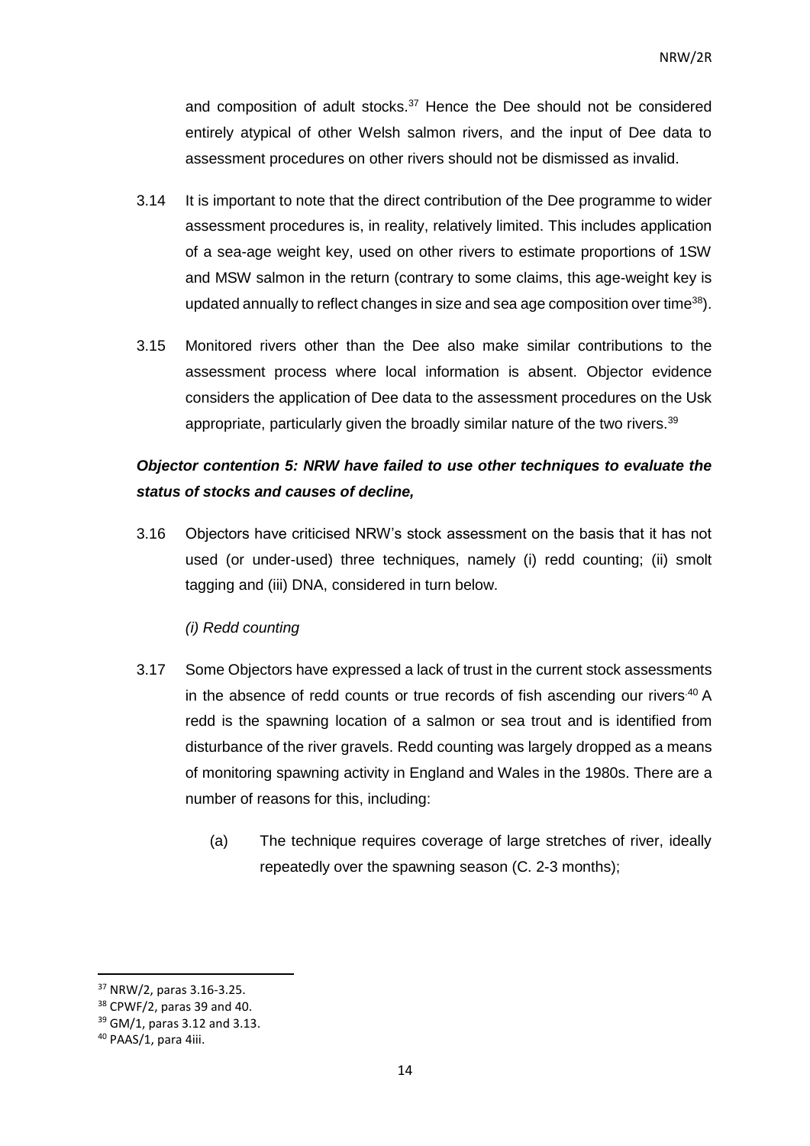and composition of adult stocks.<sup>37</sup> Hence the Dee should not be considered entirely atypical of other Welsh salmon rivers, and the input of Dee data to assessment procedures on other rivers should not be dismissed as invalid.

- 3.14 It is important to note that the direct contribution of the Dee programme to wider assessment procedures is, in reality, relatively limited. This includes application of a sea-age weight key, used on other rivers to estimate proportions of 1SW and MSW salmon in the return (contrary to some claims, this age-weight key is updated annually to reflect changes in size and sea age composition over time<sup>38</sup>).
- 3.15 Monitored rivers other than the Dee also make similar contributions to the assessment process where local information is absent. Objector evidence considers the application of Dee data to the assessment procedures on the Usk appropriate, particularly given the broadly similar nature of the two rivers. $39$

### *Objector contention 5: NRW have failed to use other techniques to evaluate the status of stocks and causes of decline,*

3.16 Objectors have criticised NRW's stock assessment on the basis that it has not used (or under-used) three techniques, namely (i) redd counting; (ii) smolt tagging and (iii) DNA, considered in turn below.

### *(i) Redd counting*

- 3.17 Some Objectors have expressed a lack of trust in the current stock assessments in the absence of redd counts or true records of fish ascending our rivers.<sup>40</sup> A redd is the spawning location of a salmon or sea trout and is identified from disturbance of the river gravels. Redd counting was largely dropped as a means of monitoring spawning activity in England and Wales in the 1980s. There are a number of reasons for this, including:
	- (a) The technique requires coverage of large stretches of river, ideally repeatedly over the spawning season (C. 2-3 months);

<sup>37</sup> NRW/2, paras 3.16-3.25.

<sup>38</sup> CPWF/2, paras 39 and 40.

<sup>39</sup> GM/1, paras 3.12 and 3.13.

<sup>40</sup> PAAS/1, para 4iii.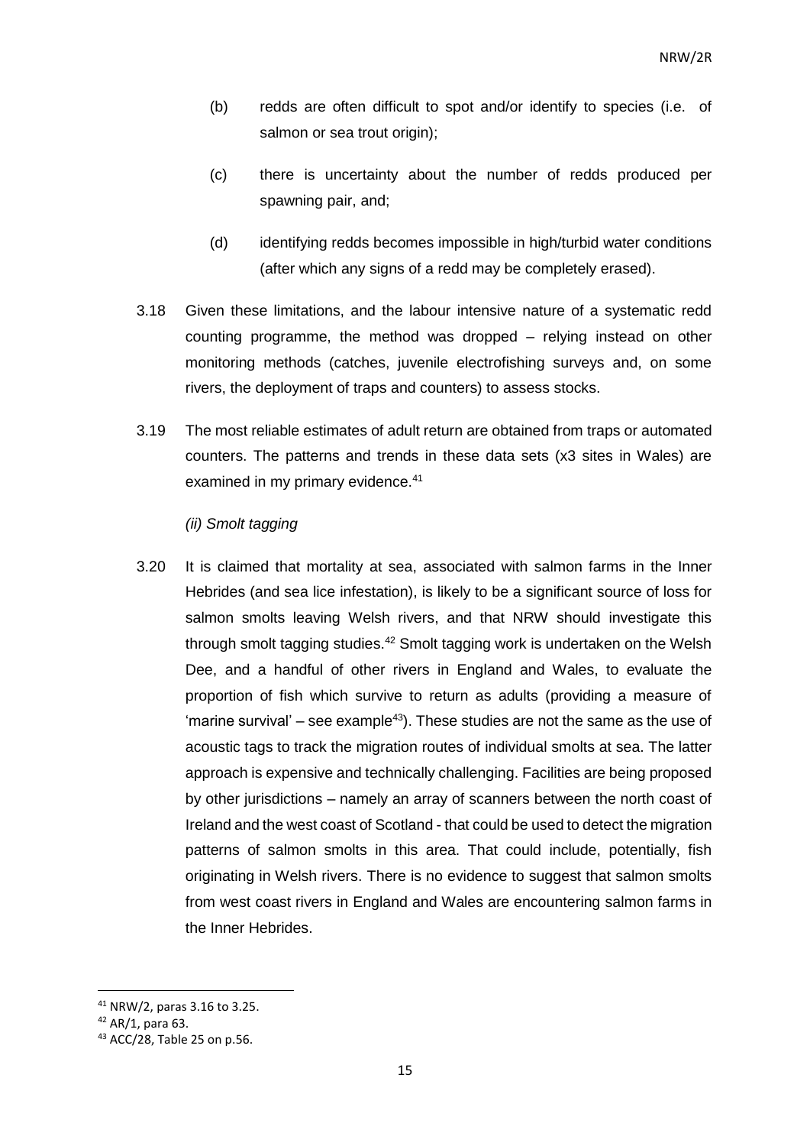- (b) redds are often difficult to spot and/or identify to species (i.e. of salmon or sea trout origin);
- (c) there is uncertainty about the number of redds produced per spawning pair, and;
- (d) identifying redds becomes impossible in high/turbid water conditions (after which any signs of a redd may be completely erased).
- 3.18 Given these limitations, and the labour intensive nature of a systematic redd counting programme, the method was dropped – relying instead on other monitoring methods (catches, juvenile electrofishing surveys and, on some rivers, the deployment of traps and counters) to assess stocks.
- 3.19 The most reliable estimates of adult return are obtained from traps or automated counters. The patterns and trends in these data sets (x3 sites in Wales) are examined in my primary evidence.<sup>41</sup>

#### *(ii) Smolt tagging*

3.20 It is claimed that mortality at sea, associated with salmon farms in the Inner Hebrides (and sea lice infestation), is likely to be a significant source of loss for salmon smolts leaving Welsh rivers, and that NRW should investigate this through smolt tagging studies.<sup>42</sup> Smolt tagging work is undertaken on the Welsh Dee, and a handful of other rivers in England and Wales, to evaluate the proportion of fish which survive to return as adults (providing a measure of 'marine survival' – see example<sup>43</sup>). These studies are not the same as the use of acoustic tags to track the migration routes of individual smolts at sea. The latter approach is expensive and technically challenging. Facilities are being proposed by other jurisdictions – namely an array of scanners between the north coast of Ireland and the west coast of Scotland - that could be used to detect the migration patterns of salmon smolts in this area. That could include, potentially, fish originating in Welsh rivers. There is no evidence to suggest that salmon smolts from west coast rivers in England and Wales are encountering salmon farms in the Inner Hebrides.

<sup>41</sup> NRW/2, paras 3.16 to 3.25.

<sup>42</sup> AR/1, para 63.

<sup>43</sup> ACC/28, Table 25 on p.56.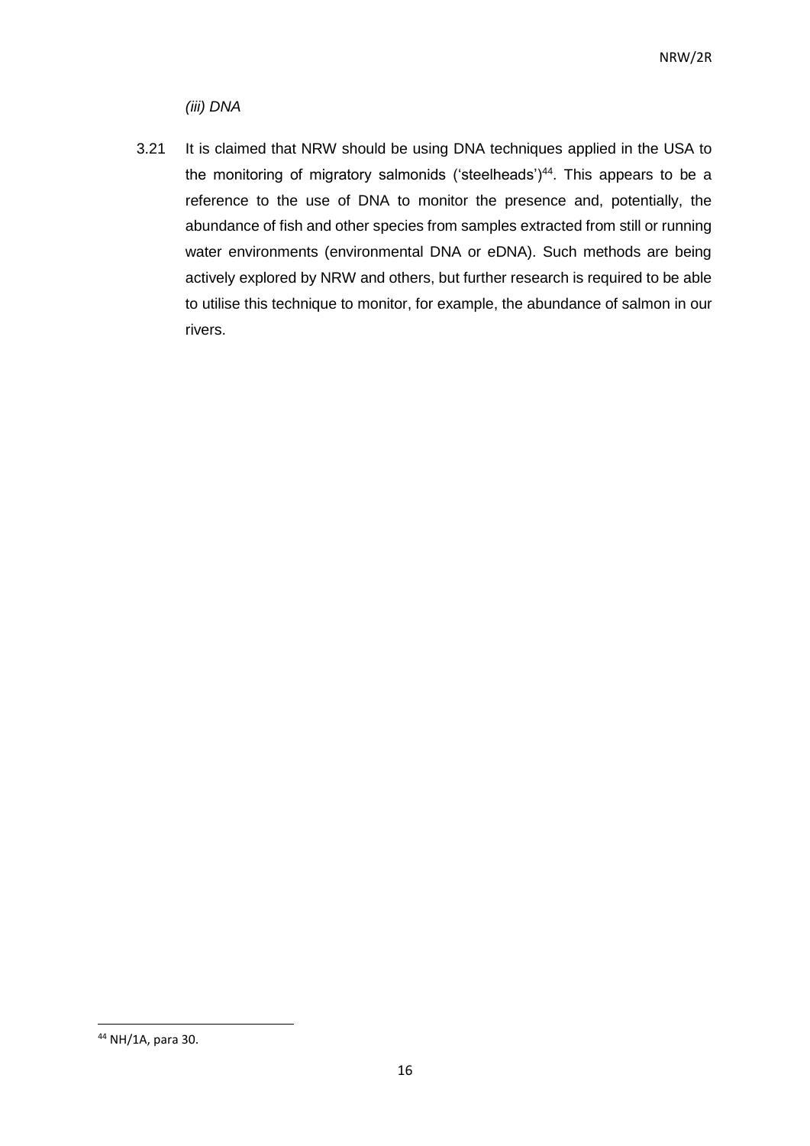### *(iii) DNA*

3.21 It is claimed that NRW should be using DNA techniques applied in the USA to the monitoring of migratory salmonids ('steelheads')<sup>44</sup>. This appears to be a reference to the use of DNA to monitor the presence and, potentially, the abundance of fish and other species from samples extracted from still or running water environments (environmental DNA or eDNA). Such methods are being actively explored by NRW and others, but further research is required to be able to utilise this technique to monitor, for example, the abundance of salmon in our rivers.

<sup>44</sup> NH/1A, para 30.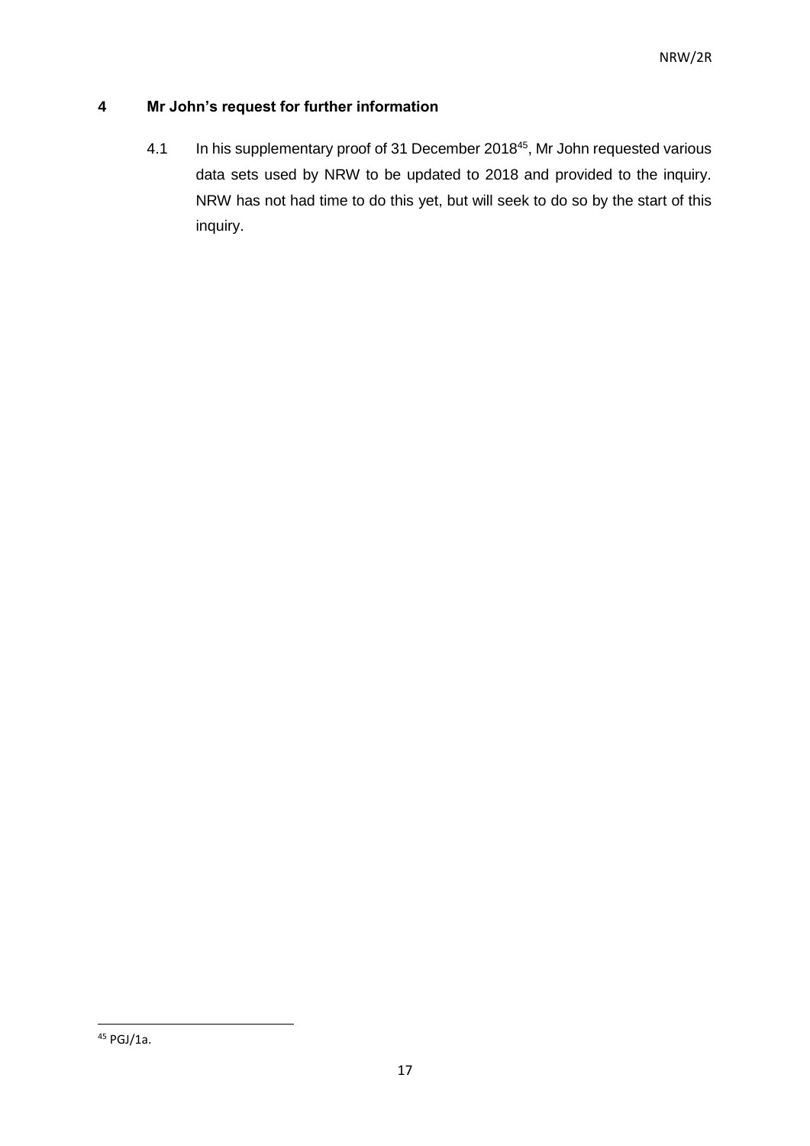### **4 Mr John's request for further information**

4.1 In his supplementary proof of 31 December 2018<sup>45</sup>, Mr John requested various data sets used by NRW to be updated to 2018 and provided to the inquiry. NRW has not had time to do this yet, but will seek to do so by the start of this inquiry.

**<sup>.</sup>** <sup>45</sup> PGJ/1a.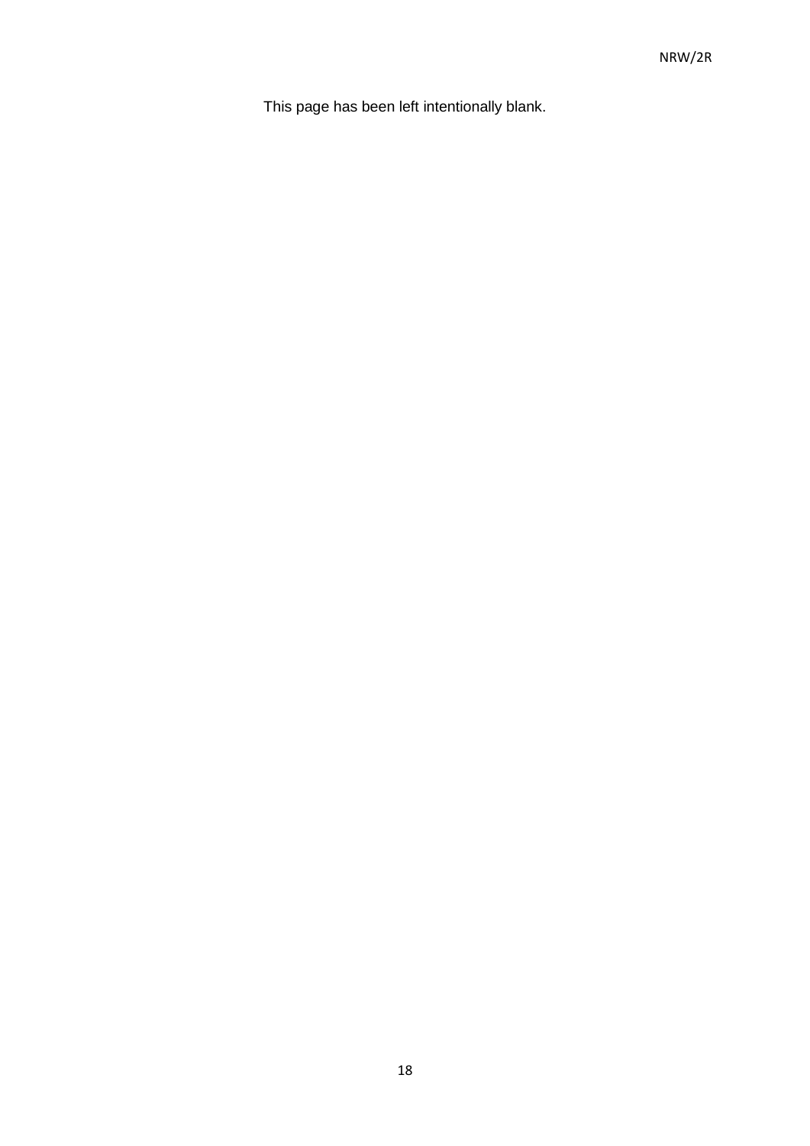This page has been left intentionally blank.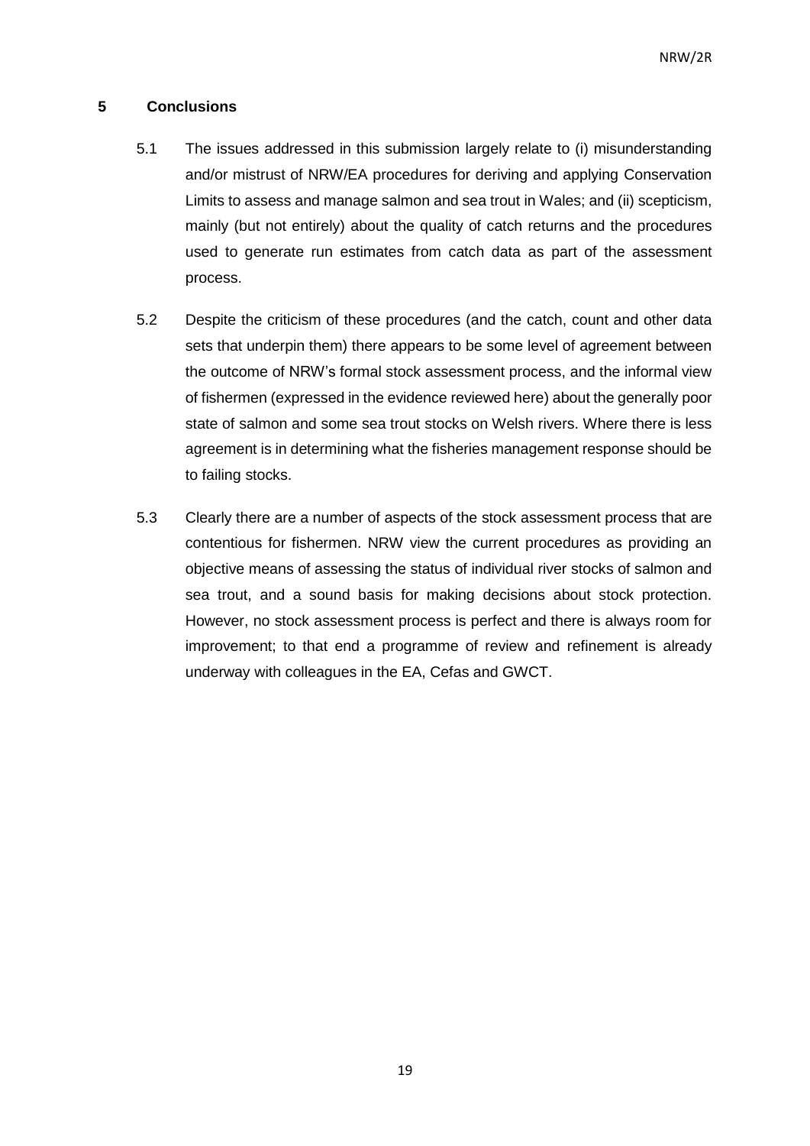NRW/2R

### **5 Conclusions**

- 5.1 The issues addressed in this submission largely relate to (i) misunderstanding and/or mistrust of NRW/EA procedures for deriving and applying Conservation Limits to assess and manage salmon and sea trout in Wales; and (ii) scepticism, mainly (but not entirely) about the quality of catch returns and the procedures used to generate run estimates from catch data as part of the assessment process.
- 5.2 Despite the criticism of these procedures (and the catch, count and other data sets that underpin them) there appears to be some level of agreement between the outcome of NRW's formal stock assessment process, and the informal view of fishermen (expressed in the evidence reviewed here) about the generally poor state of salmon and some sea trout stocks on Welsh rivers. Where there is less agreement is in determining what the fisheries management response should be to failing stocks.
- 5.3 Clearly there are a number of aspects of the stock assessment process that are contentious for fishermen. NRW view the current procedures as providing an objective means of assessing the status of individual river stocks of salmon and sea trout, and a sound basis for making decisions about stock protection. However, no stock assessment process is perfect and there is always room for improvement; to that end a programme of review and refinement is already underway with colleagues in the EA, Cefas and GWCT.